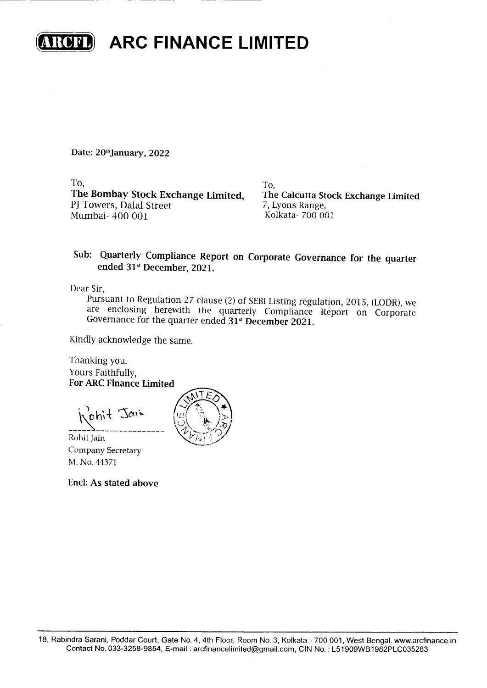

**TRUDE ARC FINANCE LIMITED** 

Date: 20th January, 2022

To,

The Bombay Stock Exchange Limited, PJ Towers, Dalal Street Mumbai- 400 001

To. The Calcutta Stock Exchange Limited 7, Lyons Range, Kolkata-700 001

## Sub: Quarterly Compliance Report on Corporate Governance for the quarter ended 31<sup>st</sup> December, 2021.

Dear Sir.

Pursuant to Regulation 27 clause (2) of SEBI Listing regulation, 2015, (LODR), we are enclosing herewith the quarterly Compliance Report on Corporate Governance for the quarter ended 31<sup>st</sup> December 2021.

Kindly acknowledge the same.

Thanking you. Yours Faithfully. **For ARC Finance Limited** 

Kohit Jain

Rohit Jain Company Secretary M. No. 44371

**Encl: As stated above** 

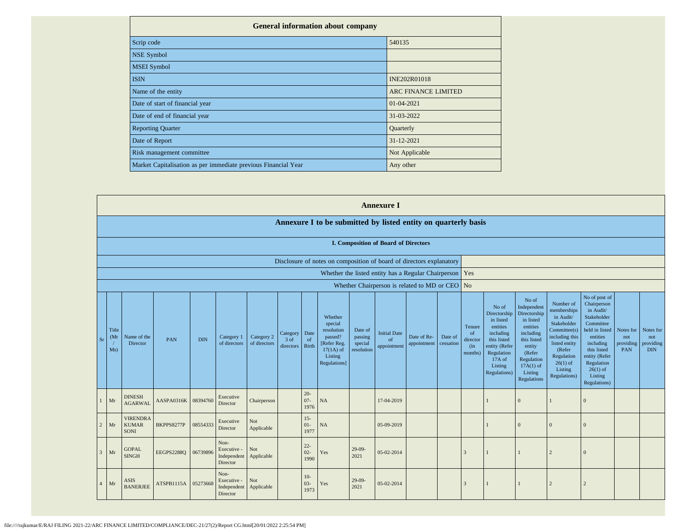| <b>General information about company</b>                       |                            |
|----------------------------------------------------------------|----------------------------|
| Scrip code                                                     | 540135                     |
| <b>NSE Symbol</b>                                              |                            |
| <b>MSEI</b> Symbol                                             |                            |
| <b>ISIN</b>                                                    | INE202R01018               |
| Name of the entity                                             | <b>ARC FINANCE LIMITED</b> |
| Date of start of financial year                                | 01-04-2021                 |
| Date of end of financial year                                  | 31-03-2022                 |
| <b>Reporting Quarter</b>                                       | Quarterly                  |
| Date of Report                                                 | 31-12-2021                 |
| Risk management committee                                      | Not Applicable             |
| Market Capitalisation as per immediate previous Financial Year | Any other                  |

|                |                                   |                                                |                   |            |                                                |                            |                                    |                          |                                                                                                      |                                             | <b>Annexure I</b>                        |                                                                                                       |                      |                                                       |                                                                                                                                                |                                                                                                                                                                      |                                                                                                                                                                          |                                                                                                                                                                                                         |                                      |                                             |
|----------------|-----------------------------------|------------------------------------------------|-------------------|------------|------------------------------------------------|----------------------------|------------------------------------|--------------------------|------------------------------------------------------------------------------------------------------|---------------------------------------------|------------------------------------------|-------------------------------------------------------------------------------------------------------|----------------------|-------------------------------------------------------|------------------------------------------------------------------------------------------------------------------------------------------------|----------------------------------------------------------------------------------------------------------------------------------------------------------------------|--------------------------------------------------------------------------------------------------------------------------------------------------------------------------|---------------------------------------------------------------------------------------------------------------------------------------------------------------------------------------------------------|--------------------------------------|---------------------------------------------|
|                |                                   |                                                |                   |            |                                                |                            |                                    |                          | Annexure I to be submitted by listed entity on quarterly basis                                       |                                             |                                          |                                                                                                       |                      |                                                       |                                                                                                                                                |                                                                                                                                                                      |                                                                                                                                                                          |                                                                                                                                                                                                         |                                      |                                             |
|                |                                   | I. Composition of Board of Directors           |                   |            |                                                |                            |                                    |                          |                                                                                                      |                                             |                                          |                                                                                                       |                      |                                                       |                                                                                                                                                |                                                                                                                                                                      |                                                                                                                                                                          |                                                                                                                                                                                                         |                                      |                                             |
|                |                                   |                                                |                   |            |                                                |                            |                                    |                          | Disclosure of notes on composition of board of directors explanatory                                 |                                             |                                          |                                                                                                       |                      |                                                       |                                                                                                                                                |                                                                                                                                                                      |                                                                                                                                                                          |                                                                                                                                                                                                         |                                      |                                             |
|                |                                   |                                                |                   |            |                                                |                            |                                    |                          |                                                                                                      |                                             |                                          | Whether the listed entity has a Regular Chairperson<br>Whether Chairperson is related to MD or CEO No |                      | Yes                                                   |                                                                                                                                                |                                                                                                                                                                      |                                                                                                                                                                          |                                                                                                                                                                                                         |                                      |                                             |
| <b>Sr</b>      | Title<br>(M <sub>I</sub> )<br>Ms) | Name of the<br>Director                        | PAN               | <b>DIN</b> | Category 1<br>of directors                     | Category 2<br>of directors | Category Date<br>3 of<br>directors | of<br><b>Birth</b>       | Whether<br>special<br>resolution<br>passed?<br>[Refer Reg.<br>$17(1A)$ of<br>Listing<br>Regulations] | Date of<br>passing<br>special<br>resolution | <b>Initial Date</b><br>of<br>appointment | Date of Re-<br>appointment                                                                            | Date of<br>cessation | Tenure<br><sub>of</sub><br>director<br>(in<br>months) | No of<br>Directorship<br>in listed<br>entities<br>including<br>this listed<br>entity (Refer<br>Regulation<br>17A of<br>Listing<br>Regulations) | No of<br>Independent<br>Directorship<br>in listed<br>entities<br>including<br>this listed<br>entity<br>(Refer<br>Regulation<br>$17A(1)$ of<br>Listing<br>Regulations | Number of<br>memberships<br>in Audit/<br>Stakeholder<br>Committee(s)<br>including this<br>listed entity<br>(Refer<br>Regulation<br>$26(1)$ of<br>Listing<br>Regulations) | No of post of<br>Chairperson<br>in Audit/<br>Stakeholder<br>Committee<br>held in listed<br>entities<br>including<br>this listed<br>entity (Refer<br>Regulation<br>$26(1)$ of<br>Listing<br>Regulations) | Notes for<br>not<br>providing<br>PAN | Notes for<br>not<br>providing<br><b>DIN</b> |
|                | Mr                                | <b>DINESH</b><br><b>AGARWAL</b>                | AASPA0316K        | 08394760   | Executive<br>Director                          | Chairperson                |                                    | $20 -$<br>$07 -$<br>1976 | NA                                                                                                   |                                             | 17-04-2019                               |                                                                                                       |                      |                                                       |                                                                                                                                                | $\Omega$                                                                                                                                                             |                                                                                                                                                                          | $\Omega$                                                                                                                                                                                                |                                      |                                             |
| 2              | Mr                                | <b>VIRENDRA</b><br><b>KUMAR</b><br><b>SONI</b> | BKPPS8277P        | 08554333   | Executive<br>Director                          | Not<br>Applicable          |                                    | $15 -$<br>$01-$<br>1977  | NA                                                                                                   |                                             | 05-09-2019                               |                                                                                                       |                      |                                                       |                                                                                                                                                | $\Omega$                                                                                                                                                             | $\mathbf{0}$                                                                                                                                                             | $\Omega$                                                                                                                                                                                                |                                      |                                             |
| $\overline{3}$ | Mr                                | <b>GOPAL</b><br><b>SINGH</b>                   | <b>EEGPS2288Q</b> | 06739896   | Non-<br>Executive -<br>Independent<br>Director | Not<br>Applicable          |                                    | $22 -$<br>$02 -$<br>1990 | Yes                                                                                                  | $29-09-$<br>2021                            | 05-02-2014                               |                                                                                                       |                      | 3                                                     |                                                                                                                                                |                                                                                                                                                                      | $\overline{c}$                                                                                                                                                           | $\Omega$                                                                                                                                                                                                |                                      |                                             |
|                | Mr                                | ASIS<br><b>BANERJEE</b>                        | ATSPB1115A        | 05273668   | Non-<br>Executive -<br>Independent<br>Director | Not<br>Applicable          |                                    | $10-$<br>$03 -$<br>1973  | Yes                                                                                                  | $29-09-$<br>2021                            | 05-02-2014                               |                                                                                                       |                      | 3                                                     | $\mathbf{1}$                                                                                                                                   |                                                                                                                                                                      | $\overline{c}$                                                                                                                                                           | $\overline{2}$                                                                                                                                                                                          |                                      |                                             |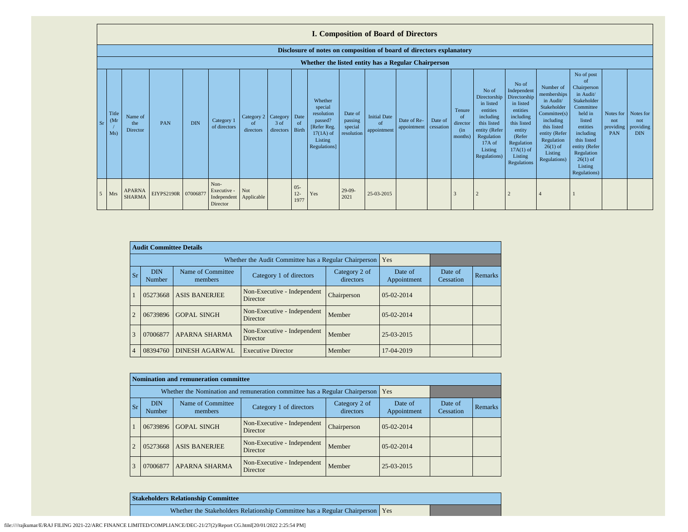|                 | <b>I. Composition of Board of Directors</b>                          |                                |                     |            |                                                |                                        |                   |                            |                                                                                                      |                                             |                                          |                            |                      |                                                        |                                                                                                                                                      |                                                                                                                                                                      |                                                                                                                                                                          |                                                                                                                                                                                                                     |                                             |                                             |
|-----------------|----------------------------------------------------------------------|--------------------------------|---------------------|------------|------------------------------------------------|----------------------------------------|-------------------|----------------------------|------------------------------------------------------------------------------------------------------|---------------------------------------------|------------------------------------------|----------------------------|----------------------|--------------------------------------------------------|------------------------------------------------------------------------------------------------------------------------------------------------------|----------------------------------------------------------------------------------------------------------------------------------------------------------------------|--------------------------------------------------------------------------------------------------------------------------------------------------------------------------|---------------------------------------------------------------------------------------------------------------------------------------------------------------------------------------------------------------------|---------------------------------------------|---------------------------------------------|
|                 | Disclosure of notes on composition of board of directors explanatory |                                |                     |            |                                                |                                        |                   |                            |                                                                                                      |                                             |                                          |                            |                      |                                                        |                                                                                                                                                      |                                                                                                                                                                      |                                                                                                                                                                          |                                                                                                                                                                                                                     |                                             |                                             |
|                 |                                                                      |                                |                     |            |                                                |                                        |                   |                            | Whether the listed entity has a Regular Chairperson                                                  |                                             |                                          |                            |                      |                                                        |                                                                                                                                                      |                                                                                                                                                                      |                                                                                                                                                                          |                                                                                                                                                                                                                     |                                             |                                             |
| Sr              | Title<br>(M <sub>I</sub> )<br>Ms)                                    | Name of<br>the<br>Director     | <b>PAN</b>          | <b>DIN</b> | Category 1<br>of directors                     | Category 2 Category<br>of<br>directors | 3 of<br>directors | Date<br>of<br><b>Birth</b> | Whether<br>special<br>resolution<br>passed?<br>[Refer Reg.<br>$17(1A)$ of<br>Listing<br>Regulations] | Date of<br>passing<br>special<br>resolution | <b>Initial Date</b><br>of<br>appointment | Date of Re-<br>appointment | Date of<br>cessation | Tenure<br><sub>of</sub><br>director<br>(in)<br>months) | No of<br>Directorship   1<br>in listed<br>entities<br>including<br>this listed<br>entity (Refer<br>Regulation<br>$17A$ of<br>Listing<br>Regulations) | No of<br>Independent<br>Directorship<br>in listed<br>entities<br>including<br>this listed<br>entity<br>(Refer<br>Regulation<br>$17A(1)$ of<br>Listing<br>Regulations | Number of<br>memberships<br>in Audit/<br>Stakeholder<br>Committee(s)<br>including<br>this listed<br>entity (Refer<br>Regulation<br>$26(1)$ of<br>Listing<br>Regulations) | No of post<br>$\Omega$<br>Chairperson<br>in Audit/<br>Stakeholder<br>Committee<br>held in<br>listed<br>entities<br>including<br>this listed<br>entity (Refer<br>Regulation<br>$26(1)$ of<br>Listing<br>Regulations) | Notes for<br>not<br>providing<br><b>PAN</b> | Notes for<br>not<br>providing<br><b>DIN</b> |
| .5 <sub>5</sub> | <b>Mrs</b>                                                           | <b>APARNA</b><br><b>SHARMA</b> | EIYPS2190R 07006877 |            | Non-<br>Executive -<br>Independent<br>Director | <b>Not</b><br>Applicable               |                   | $05 -$<br>$12 -$<br>1977   | Yes                                                                                                  | $29-09-$<br>2021                            | 25-03-2015                               |                            |                      |                                                        |                                                                                                                                                      |                                                                                                                                                                      |                                                                                                                                                                          |                                                                                                                                                                                                                     |                                             |                                             |

|                | <b>Audit Committee Details</b> |                                                       |                                         |                            |                        |                      |         |
|----------------|--------------------------------|-------------------------------------------------------|-----------------------------------------|----------------------------|------------------------|----------------------|---------|
|                |                                | Whether the Audit Committee has a Regular Chairperson | Yes                                     |                            |                        |                      |         |
| <b>Sr</b>      | <b>DIN</b><br>Number           | Name of Committee<br>members                          | Category 1 of directors                 | Category 2 of<br>directors | Date of<br>Appointment | Date of<br>Cessation | Remarks |
|                | 05273668                       | <b>ASIS BANERJEE</b>                                  | Non-Executive - Independent<br>Director | Chairperson                | $0.5 - 0.2 - 2014$     |                      |         |
| $\overline{2}$ | 06739896                       | <b>GOPAL SINGH</b>                                    | Non-Executive - Independent<br>Director | Member                     | $0.5 - 0.2 - 2014$     |                      |         |
| 3              | 07006877                       | <b>APARNA SHARMA</b>                                  | Non-Executive - Independent<br>Director | Member                     | 25-03-2015             |                      |         |
| $\overline{4}$ | 08394760                       | DINESH AGARWAL                                        | <b>Executive Director</b>               | Member                     | 17-04-2019             |                      |         |

|           |                                                             | Nomination and remuneration committee                                       |                                         |                            |                        |                      |                |
|-----------|-------------------------------------------------------------|-----------------------------------------------------------------------------|-----------------------------------------|----------------------------|------------------------|----------------------|----------------|
|           |                                                             | Whether the Nomination and remuneration committee has a Regular Chairperson | Yes                                     |                            |                        |                      |                |
| <b>Sr</b> | Name of Committee<br><b>DIN</b><br><b>Number</b><br>members |                                                                             | Category 1 of directors                 | Category 2 of<br>directors | Date of<br>Appointment | Date of<br>Cessation | <b>Remarks</b> |
|           | 06739896                                                    | <b>GOPAL SINGH</b>                                                          | Non-Executive - Independent<br>Director | Chairperson                | $0.5 - 0.2 - 2014$     |                      |                |
|           | 05273668                                                    | <b>ASIS BANERJEE</b>                                                        | Non-Executive - Independent<br>Director | Member                     | $05-02-2014$           |                      |                |
| 3         | 07006877                                                    | <b>APARNA SHARMA</b>                                                        | Non-Executive - Independent<br>Director | Member                     | 25-03-2015             |                      |                |

| <b>Stakeholders Relationship Committee</b>                                      |  |
|---------------------------------------------------------------------------------|--|
| Whether the Stakeholders Relationship Committee has a Regular Chairperson   Yes |  |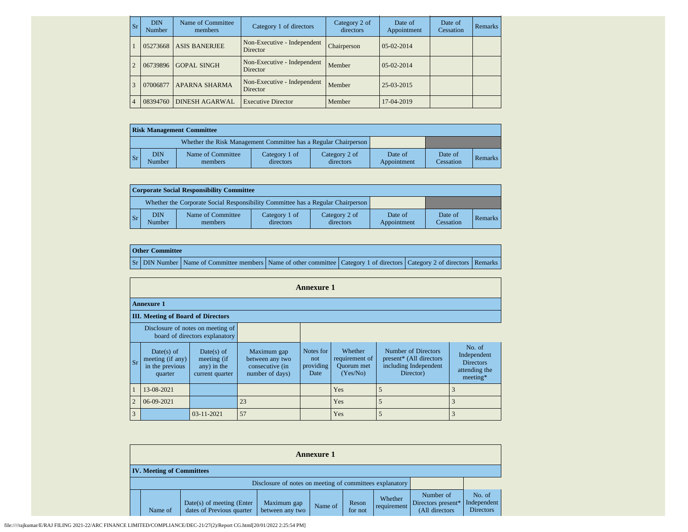| <b>Sr</b>      | <b>DIN</b><br>Number | Name of Committee<br>members | Category 1 of directors                 | Category 2 of<br>directors | Date of<br>Appointment | Date of<br><b>Cessation</b> | <b>Remarks</b> |
|----------------|----------------------|------------------------------|-----------------------------------------|----------------------------|------------------------|-----------------------------|----------------|
|                | 05273668             | <b>ASIS BANERJEE</b>         | Non-Executive - Independent<br>Director | Chairperson                | $0.5 - 0.2 - 2014$     |                             |                |
| $\overline{2}$ | 06739896             | <b>GOPAL SINGH</b>           | Non-Executive - Independent<br>Director | Member                     | $0.5 - 0.2 - 2014$     |                             |                |
| 3              | 07006877             | <b>APARNA SHARMA</b>         | Non-Executive - Independent<br>Director | Member                     | 25-03-2015             |                             |                |
| $\overline{4}$ | 08394760             | <b>DINESH AGARWAL</b>        | <b>Executive Director</b>               | Member                     | 17-04-2019             |                             |                |

|                | <b>Risk Management Committee</b> |                                                                 |                            |                            |                        |                      |         |  |  |  |  |  |
|----------------|----------------------------------|-----------------------------------------------------------------|----------------------------|----------------------------|------------------------|----------------------|---------|--|--|--|--|--|
|                |                                  | Whether the Risk Management Committee has a Regular Chairperson |                            |                            |                        |                      |         |  |  |  |  |  |
| $\mathbf{S}$ r | DIN<br>Number                    | Name of Committee<br>members                                    | Category 1 of<br>directors | Category 2 of<br>directors | Date of<br>Appointment | Date of<br>Cessation | Remarks |  |  |  |  |  |

|                 | <b>Corporate Social Responsibility Committee</b> |                                                                                 |                            |                            |                        |                      |                |  |  |  |  |  |  |
|-----------------|--------------------------------------------------|---------------------------------------------------------------------------------|----------------------------|----------------------------|------------------------|----------------------|----------------|--|--|--|--|--|--|
|                 |                                                  | Whether the Corporate Social Responsibility Committee has a Regular Chairperson |                            |                            |                        |                      |                |  |  |  |  |  |  |
| $\mathsf{I}$ Sr | <b>DIN</b><br>Number                             | Name of Committee<br>members                                                    | Category 1 of<br>directors | Category 2 of<br>directors | Date of<br>Appointment | Date of<br>Cessation | <b>Remarks</b> |  |  |  |  |  |  |

| <b>Other Committee</b> |                                                                                                                                     |  |  |
|------------------------|-------------------------------------------------------------------------------------------------------------------------------------|--|--|
|                        | Sr   DIN Number   Name of Committee members   Name of other committee   Category 1 of directors   Category 2 of directors   Remarks |  |  |

|                |                                                                     |                                                             |                                                                      | <b>Annexure 1</b>                     |                                                            |                                                                                      |                                                                        |  |  |  |  |  |
|----------------|---------------------------------------------------------------------|-------------------------------------------------------------|----------------------------------------------------------------------|---------------------------------------|------------------------------------------------------------|--------------------------------------------------------------------------------------|------------------------------------------------------------------------|--|--|--|--|--|
|                | <b>Annexure 1</b>                                                   |                                                             |                                                                      |                                       |                                                            |                                                                                      |                                                                        |  |  |  |  |  |
|                | <b>III.</b> Meeting of Board of Directors                           |                                                             |                                                                      |                                       |                                                            |                                                                                      |                                                                        |  |  |  |  |  |
|                | Disclosure of notes on meeting of<br>board of directors explanatory |                                                             |                                                                      |                                       |                                                            |                                                                                      |                                                                        |  |  |  |  |  |
| $S_r$          | Date(s) of<br>meeting (if any)<br>in the previous<br>quarter        | Date(s) of<br>meeting (if<br>any) in the<br>current quarter | Maximum gap<br>between any two<br>consecutive (in<br>number of days) | Notes for<br>not<br>providing<br>Date | Whether<br>requirement of<br><b>Ouorum</b> met<br>(Yes/No) | Number of Directors<br>present* (All directors<br>including Independent<br>Director) | No. of<br>Independent<br><b>Directors</b><br>attending the<br>meeting* |  |  |  |  |  |
|                | 13-08-2021                                                          |                                                             |                                                                      |                                       | Yes                                                        | 5                                                                                    |                                                                        |  |  |  |  |  |
| $\overline{2}$ | 06-09-2021                                                          |                                                             | 23                                                                   |                                       | Yes                                                        | 5                                                                                    |                                                                        |  |  |  |  |  |
| 3              |                                                                     | 03-11-2021                                                  | 57                                                                   |                                       | Yes                                                        | 5                                                                                    |                                                                        |  |  |  |  |  |

|  | <b>Annexure 1</b>                |                                                          |                                                          |         |                  |                        |                                                   |                                           |  |  |  |  |
|--|----------------------------------|----------------------------------------------------------|----------------------------------------------------------|---------|------------------|------------------------|---------------------------------------------------|-------------------------------------------|--|--|--|--|
|  | <b>IV.</b> Meeting of Committees |                                                          |                                                          |         |                  |                        |                                                   |                                           |  |  |  |  |
|  |                                  |                                                          | Disclosure of notes on meeting of committees explanatory |         |                  |                        |                                                   |                                           |  |  |  |  |
|  | Name of                          | $Date(s)$ of meeting (Enter<br>dates of Previous quarter | Maximum gap<br>between any two                           | Name of | Reson<br>for not | Whether<br>requirement | Number of<br>Directors present*<br>(All directors | No. of<br>Independent<br><b>Directors</b> |  |  |  |  |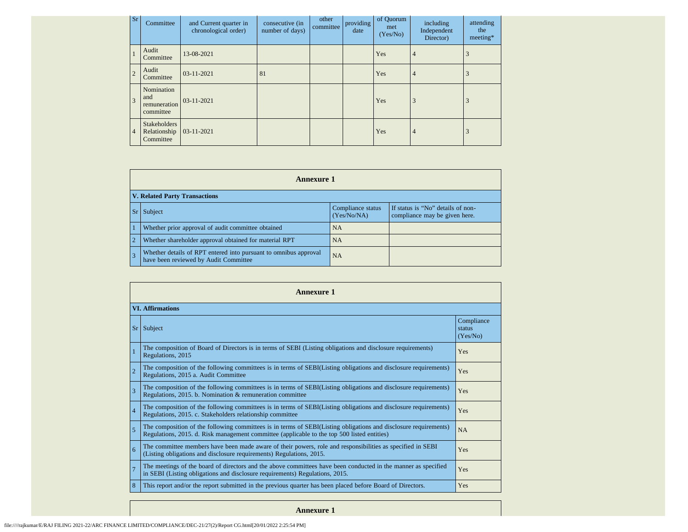| Sr             | Committee                                        | and Current quarter in<br>chronological order) | consecutive (in<br>number of days) | other<br>committee | providing<br>date | of Quorum<br>met<br>(Yes/No) | including<br>Independent<br>Director) | attending<br>the<br>$meeting*$ |
|----------------|--------------------------------------------------|------------------------------------------------|------------------------------------|--------------------|-------------------|------------------------------|---------------------------------------|--------------------------------|
|                | Audit<br>Committee                               | 13-08-2021                                     |                                    |                    |                   | Yes                          | $\overline{4}$                        |                                |
| $\overline{2}$ | Audit<br>Committee                               | $03-11-2021$                                   | 81                                 |                    |                   | Yes                          | $\overline{4}$                        |                                |
| 3              | Nomination<br>and<br>remuneration<br>committee   | $03 - 11 - 2021$                               |                                    |                    |                   | Yes                          | 3                                     |                                |
| $\overline{4}$ | <b>Stakeholders</b><br>Relationship<br>Committee | $03 - 11 - 2021$                               |                                    |                    |                   | Yes                          | $\overline{4}$                        |                                |

| <b>Annexure 1</b> |                                                                                                           |                                  |                                                                    |  |
|-------------------|-----------------------------------------------------------------------------------------------------------|----------------------------------|--------------------------------------------------------------------|--|
|                   | <b>V. Related Party Transactions</b>                                                                      |                                  |                                                                    |  |
|                   | Sr Subject                                                                                                | Compliance status<br>(Yes/No/NA) | If status is "No" details of non-<br>compliance may be given here. |  |
| $\vert$ 1         | Whether prior approval of audit committee obtained                                                        | <b>NA</b>                        |                                                                    |  |
| $\overline{2}$    | Whether shareholder approval obtained for material RPT                                                    | <b>NA</b>                        |                                                                    |  |
| $\overline{3}$    | Whether details of RPT entered into pursuant to omnibus approval<br>have been reviewed by Audit Committee | <b>NA</b>                        |                                                                    |  |

| <b>Annexure 1</b>       |                                                                                                                                                                                                                 |                                  |  |  |
|-------------------------|-----------------------------------------------------------------------------------------------------------------------------------------------------------------------------------------------------------------|----------------------------------|--|--|
| <b>VI.</b> Affirmations |                                                                                                                                                                                                                 |                                  |  |  |
| Sr                      | Subject                                                                                                                                                                                                         | Compliance<br>status<br>(Yes/No) |  |  |
|                         | The composition of Board of Directors is in terms of SEBI (Listing obligations and disclosure requirements)<br>Regulations, 2015                                                                                | Yes                              |  |  |
| $\overline{2}$          | The composition of the following committees is in terms of SEBI(Listing obligations and disclosure requirements)<br>Regulations, 2015 a. Audit Committee                                                        | Yes                              |  |  |
| $\overline{\mathbf{3}}$ | The composition of the following committees is in terms of SEBI(Listing obligations and disclosure requirements)<br>Regulations, 2015. b. Nomination & remuneration committee                                   | Yes                              |  |  |
| $\overline{4}$          | The composition of the following committees is in terms of SEBI(Listing obligations and disclosure requirements)<br>Regulations, 2015. c. Stakeholders relationship committee                                   | Yes                              |  |  |
| $\overline{5}$          | The composition of the following committees is in terms of SEBI(Listing obligations and disclosure requirements)<br>Regulations, 2015. d. Risk management committee (applicable to the top 500 listed entities) | <b>NA</b>                        |  |  |
| 6                       | The committee members have been made aware of their powers, role and responsibilities as specified in SEBI<br>(Listing obligations and disclosure requirements) Regulations, 2015.                              | Yes                              |  |  |
| $\overline{7}$          | The meetings of the board of directors and the above committees have been conducted in the manner as specified<br>in SEBI (Listing obligations and disclosure requirements) Regulations, 2015.                  | Yes                              |  |  |
| 8                       | This report and/or the report submitted in the previous quarter has been placed before Board of Directors.                                                                                                      | Yes                              |  |  |